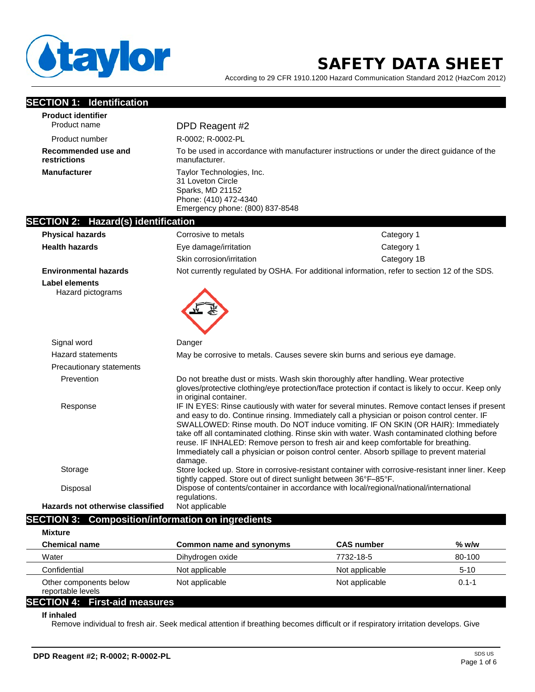

# SAFETY DATA SHEET

According to 29 CFR 1910.1200 Hazard Communication Standard 2012 (HazCom 2012)

| <b>SECTION 1: Identification</b>                         |                                                                                                                                |                                                                                                                                                                                                                                                                                                                                                                                                                                                                                                                                                                      |
|----------------------------------------------------------|--------------------------------------------------------------------------------------------------------------------------------|----------------------------------------------------------------------------------------------------------------------------------------------------------------------------------------------------------------------------------------------------------------------------------------------------------------------------------------------------------------------------------------------------------------------------------------------------------------------------------------------------------------------------------------------------------------------|
| <b>Product identifier</b>                                |                                                                                                                                |                                                                                                                                                                                                                                                                                                                                                                                                                                                                                                                                                                      |
| Product name                                             | DPD Reagent #2                                                                                                                 |                                                                                                                                                                                                                                                                                                                                                                                                                                                                                                                                                                      |
| Product number                                           | R-0002; R-0002-PL                                                                                                              |                                                                                                                                                                                                                                                                                                                                                                                                                                                                                                                                                                      |
| Recommended use and<br>restrictions                      | manufacturer.                                                                                                                  | To be used in accordance with manufacturer instructions or under the direct guidance of the                                                                                                                                                                                                                                                                                                                                                                                                                                                                          |
| <b>Manufacturer</b>                                      | Taylor Technologies, Inc.<br>31 Loveton Circle<br>Sparks, MD 21152<br>Phone: (410) 472-4340<br>Emergency phone: (800) 837-8548 |                                                                                                                                                                                                                                                                                                                                                                                                                                                                                                                                                                      |
| <b>SECTION 2: Hazard(s) identification</b>               |                                                                                                                                |                                                                                                                                                                                                                                                                                                                                                                                                                                                                                                                                                                      |
| <b>Physical hazards</b>                                  | Corrosive to metals                                                                                                            | Category 1                                                                                                                                                                                                                                                                                                                                                                                                                                                                                                                                                           |
| <b>Health hazards</b>                                    | Eye damage/irritation                                                                                                          | Category 1                                                                                                                                                                                                                                                                                                                                                                                                                                                                                                                                                           |
|                                                          | Skin corrosion/irritation                                                                                                      | Category 1B                                                                                                                                                                                                                                                                                                                                                                                                                                                                                                                                                          |
| <b>Environmental hazards</b>                             |                                                                                                                                | Not currently regulated by OSHA. For additional information, refer to section 12 of the SDS.                                                                                                                                                                                                                                                                                                                                                                                                                                                                         |
| <b>Label elements</b><br>Hazard pictograms               |                                                                                                                                |                                                                                                                                                                                                                                                                                                                                                                                                                                                                                                                                                                      |
| Signal word                                              | Danger                                                                                                                         |                                                                                                                                                                                                                                                                                                                                                                                                                                                                                                                                                                      |
| <b>Hazard statements</b>                                 |                                                                                                                                | May be corrosive to metals. Causes severe skin burns and serious eye damage.                                                                                                                                                                                                                                                                                                                                                                                                                                                                                         |
| <b>Precautionary statements</b>                          |                                                                                                                                |                                                                                                                                                                                                                                                                                                                                                                                                                                                                                                                                                                      |
| Prevention                                               | in original container.                                                                                                         | Do not breathe dust or mists. Wash skin thoroughly after handling. Wear protective<br>gloves/protective clothing/eye protection/face protection if contact is likely to occur. Keep only                                                                                                                                                                                                                                                                                                                                                                             |
| Response                                                 | damage.                                                                                                                        | IF IN EYES: Rinse cautiously with water for several minutes. Remove contact lenses if present<br>and easy to do. Continue rinsing. Immediately call a physician or poison control center. IF<br>SWALLOWED: Rinse mouth. Do NOT induce vomiting. IF ON SKIN (OR HAIR): Immediately<br>take off all contaminated clothing. Rinse skin with water. Wash contaminated clothing before<br>reuse. IF INHALED: Remove person to fresh air and keep comfortable for breathing.<br>Immediately call a physician or poison control center. Absorb spillage to prevent material |
| Storage                                                  | tightly capped. Store out of direct sunlight between 36°F-85°F.                                                                | Store locked up. Store in corrosive-resistant container with corrosive-resistant inner liner. Keep                                                                                                                                                                                                                                                                                                                                                                                                                                                                   |
| Disposal                                                 | regulations.                                                                                                                   | Dispose of contents/container in accordance with local/regional/national/international                                                                                                                                                                                                                                                                                                                                                                                                                                                                               |
| <b>Hazards not otherwise classified</b>                  | Not applicable                                                                                                                 |                                                                                                                                                                                                                                                                                                                                                                                                                                                                                                                                                                      |
| <b>SECTION 3: Composition/information on ingredients</b> |                                                                                                                                |                                                                                                                                                                                                                                                                                                                                                                                                                                                                                                                                                                      |

| <b>Mixture</b>                              |                          |                   |           |
|---------------------------------------------|--------------------------|-------------------|-----------|
| <b>Chemical name</b>                        | Common name and synonyms | <b>CAS number</b> | $%$ w/w   |
| Water                                       | Dihydrogen oxide         | 7732-18-5         | 80-100    |
| Confidential                                | Not applicable           | Not applicable    | $5 - 10$  |
| Other components below<br>reportable levels | Not applicable           | Not applicable    | $0.1 - 1$ |

# **SECTION 4: First-aid measures**

**If inhaled**

Remove individual to fresh air. Seek medical attention if breathing becomes difficult or if respiratory irritation develops. Give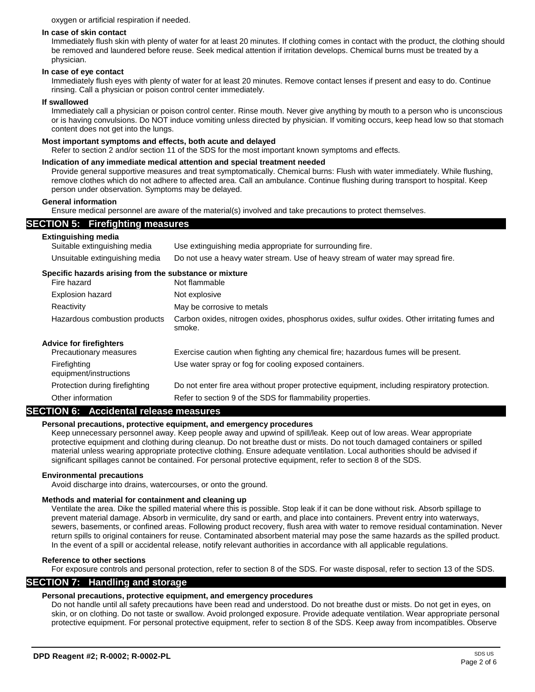#### oxygen or artificial respiration if needed.

#### **In case of skin contact**

Immediately flush skin with plenty of water for at least 20 minutes. If clothing comes in contact with the product, the clothing should be removed and laundered before reuse. Seek medical attention if irritation develops. Chemical burns must be treated by a physician.

## **In case of eye contact**

Immediately flush eyes with plenty of water for at least 20 minutes. Remove contact lenses if present and easy to do. Continue rinsing. Call a physician or poison control center immediately.

## **If swallowed**

Immediately call a physician or poison control center. Rinse mouth. Never give anything by mouth to a person who is unconscious or is having convulsions. Do NOT induce vomiting unless directed by physician. If vomiting occurs, keep head low so that stomach content does not get into the lungs.

## **Most important symptoms and effects, both acute and delayed**

Refer to section 2 and/or section 11 of the SDS for the most important known symptoms and effects.

## **Indication of any immediate medical attention and special treatment needed**

Provide general supportive measures and treat symptomatically. Chemical burns: Flush with water immediately. While flushing, remove clothes which do not adhere to affected area. Call an ambulance. Continue flushing during transport to hospital. Keep person under observation. Symptoms may be delayed.

## **General information**

Ensure medical personnel are aware of the material(s) involved and take precautions to protect themselves.

## **SECTION 5: Firefighting measures**

| <b>Extinguishing media</b><br>Suitable extinguishing media            | Use extinguishing media appropriate for surrounding fire.                                              |
|-----------------------------------------------------------------------|--------------------------------------------------------------------------------------------------------|
| Unsuitable extinguishing media                                        | Do not use a heavy water stream. Use of heavy stream of water may spread fire.                         |
| Specific hazards arising from the substance or mixture<br>Fire hazard | Not flammable                                                                                          |
| Explosion hazard                                                      | Not explosive                                                                                          |
| Reactivity                                                            | May be corrosive to metals                                                                             |
| Hazardous combustion products                                         | Carbon oxides, nitrogen oxides, phosphorus oxides, sulfur oxides. Other irritating fumes and<br>smoke. |
| <b>Advice for firefighters</b><br>Precautionary measures              | Exercise caution when fighting any chemical fire; hazardous fumes will be present.                     |
| Firefighting<br>equipment/instructions                                | Use water spray or fog for cooling exposed containers.                                                 |
| Protection during firefighting                                        | Do not enter fire area without proper protective equipment, including respiratory protection.          |
| Other information                                                     | Refer to section 9 of the SDS for flammability properties.                                             |

## **SECTION 6: Accidental release measures**

## **Personal precautions, protective equipment, and emergency procedures**

Keep unnecessary personnel away. Keep people away and upwind of spill/leak. Keep out of low areas. Wear appropriate protective equipment and clothing during cleanup. Do not breathe dust or mists. Do not touch damaged containers or spilled material unless wearing appropriate protective clothing. Ensure adequate ventilation. Local authorities should be advised if significant spillages cannot be contained. For personal protective equipment, refer to section 8 of the SDS.

#### **Environmental precautions**

Avoid discharge into drains, watercourses, or onto the ground.

#### **Methods and material for containment and cleaning up**

Ventilate the area. Dike the spilled material where this is possible. Stop leak if it can be done without risk. Absorb spillage to prevent material damage. Absorb in vermiculite, dry sand or earth, and place into containers. Prevent entry into waterways, sewers, basements, or confined areas. Following product recovery, flush area with water to remove residual contamination. Never return spills to original containers for reuse. Contaminated absorbent material may pose the same hazards as the spilled product. In the event of a spill or accidental release, notify relevant authorities in accordance with all applicable regulations.

#### **Reference to other sections**

For exposure controls and personal protection, refer to section 8 of the SDS. For waste disposal, refer to section 13 of the SDS.

## **SECTION 7: Handling and storage**

## **Personal precautions, protective equipment, and emergency procedures**

Do not handle until all safety precautions have been read and understood. Do not breathe dust or mists. Do not get in eyes, on skin, or on clothing. Do not taste or swallow. Avoid prolonged exposure. Provide adequate ventilation. Wear appropriate personal protective equipment. For personal protective equipment, refer to section 8 of the SDS. Keep away from incompatibles. Observe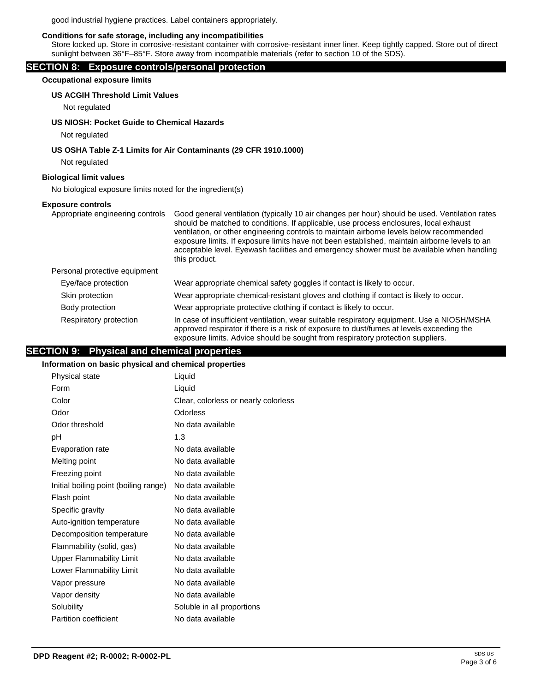good industrial hygiene practices. Label containers appropriately.

## **Conditions for safe storage, including any incompatibilities**

Store locked up. Store in corrosive-resistant container with corrosive-resistant inner liner. Keep tightly capped. Store out of direct sunlight between 36°F–85°F. Store away from incompatible materials (refer to section 10 of the SDS).

## **SECTION 8: Exposure controls/personal protection**

**Occupational exposure limits**

## **US ACGIH Threshold Limit Values**

Not regulated

## **US NIOSH: Pocket Guide to Chemical Hazards**

Not regulated

## **US OSHA Table Z-1 Limits for Air Contaminants (29 CFR 1910.1000)**

Not regulated

## **Biological limit values**

No biological exposure limits noted for the ingredient(s)

#### **Exposure controls**

| Appropriate engineering controls | Good general ventilation (typically 10 air changes per hour) should be used. Ventilation rates<br>should be matched to conditions. If applicable, use process enclosures, local exhaust<br>ventilation, or other engineering controls to maintain airborne levels below recommended<br>exposure limits. If exposure limits have not been established, maintain airborne levels to an<br>acceptable level. Eyewash facilities and emergency shower must be available when handling<br>this product. |
|----------------------------------|----------------------------------------------------------------------------------------------------------------------------------------------------------------------------------------------------------------------------------------------------------------------------------------------------------------------------------------------------------------------------------------------------------------------------------------------------------------------------------------------------|
| Personal protective equipment    |                                                                                                                                                                                                                                                                                                                                                                                                                                                                                                    |
| Eye/face protection              | Wear appropriate chemical safety goggles if contact is likely to occur.                                                                                                                                                                                                                                                                                                                                                                                                                            |
| Skin protection                  | Wear appropriate chemical-resistant gloves and clothing if contact is likely to occur.                                                                                                                                                                                                                                                                                                                                                                                                             |
| Body protection                  | Wear appropriate protective clothing if contact is likely to occur.                                                                                                                                                                                                                                                                                                                                                                                                                                |
| Respiratory protection           | In case of insufficient ventilation, wear suitable respiratory equipment. Use a NIOSH/MSHA<br>approved respirator if there is a risk of exposure to dust/fumes at levels exceeding the<br>exposure limits. Advice should be sought from respiratory protection suppliers.                                                                                                                                                                                                                          |

# **SECTION 9: Physical and chemical properties**

## **Information on basic physical and chemical properties**

| Physical state                        | Liquid                               |
|---------------------------------------|--------------------------------------|
| Form                                  | Liquid                               |
| Color                                 | Clear, colorless or nearly colorless |
| Odor                                  | Odorless                             |
| Odor threshold                        | No data available                    |
| рH                                    | 1.3                                  |
| Evaporation rate                      | No data available                    |
| Melting point                         | No data available                    |
| Freezing point                        | No data available                    |
| Initial boiling point (boiling range) | No data available                    |
| Flash point                           | No data available                    |
| Specific gravity                      | No data available                    |
| Auto-ignition temperature             | No data available                    |
| Decomposition temperature             | No data available                    |
| Flammability (solid, gas)             | No data available                    |
| <b>Upper Flammability Limit</b>       | No data available                    |
| Lower Flammability Limit              | No data available                    |
| Vapor pressure                        | No data available                    |
| Vapor density                         | No data available                    |
| Solubility                            | Soluble in all proportions           |
| Partition coefficient                 | No data available                    |
|                                       |                                      |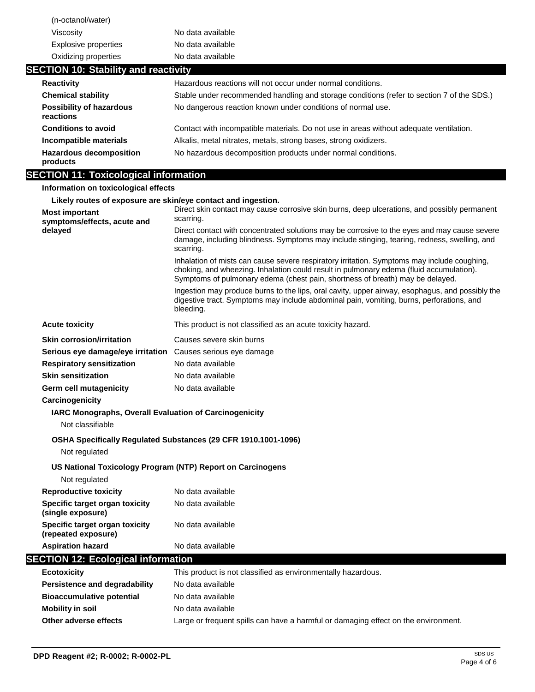| (n-octanol/water)                                                          |                                                                                                                                                                                                                                                                         |
|----------------------------------------------------------------------------|-------------------------------------------------------------------------------------------------------------------------------------------------------------------------------------------------------------------------------------------------------------------------|
| Viscosity                                                                  | No data available                                                                                                                                                                                                                                                       |
| <b>Explosive properties</b>                                                | No data available                                                                                                                                                                                                                                                       |
| Oxidizing properties                                                       | No data available                                                                                                                                                                                                                                                       |
| <b>SECTION 10: Stability and reactivity</b>                                |                                                                                                                                                                                                                                                                         |
| <b>Reactivity</b>                                                          | Hazardous reactions will not occur under normal conditions.                                                                                                                                                                                                             |
| <b>Chemical stability</b>                                                  | Stable under recommended handling and storage conditions (refer to section 7 of the SDS.)                                                                                                                                                                               |
| <b>Possibility of hazardous</b><br>reactions                               | No dangerous reaction known under conditions of normal use.                                                                                                                                                                                                             |
| <b>Conditions to avoid</b>                                                 | Contact with incompatible materials. Do not use in areas without adequate ventilation.                                                                                                                                                                                  |
| Incompatible materials                                                     | Alkalis, metal nitrates, metals, strong bases, strong oxidizers.                                                                                                                                                                                                        |
| <b>Hazardous decomposition</b><br>products                                 | No hazardous decomposition products under normal conditions.                                                                                                                                                                                                            |
| <b>SECTION 11: Toxicological information</b>                               |                                                                                                                                                                                                                                                                         |
| Information on toxicological effects                                       |                                                                                                                                                                                                                                                                         |
| Likely routes of exposure are skin/eye contact and ingestion.              |                                                                                                                                                                                                                                                                         |
| <b>Most important</b>                                                      | Direct skin contact may cause corrosive skin burns, deep ulcerations, and possibly permanent<br>scarring.                                                                                                                                                               |
| symptoms/effects, acute and<br>delayed                                     | Direct contact with concentrated solutions may be corrosive to the eyes and may cause severe<br>damage, including blindness. Symptoms may include stinging, tearing, redness, swelling, and<br>scarring.                                                                |
|                                                                            | Inhalation of mists can cause severe respiratory irritation. Symptoms may include coughing,<br>choking, and wheezing. Inhalation could result in pulmonary edema (fluid accumulation).<br>Symptoms of pulmonary edema (chest pain, shortness of breath) may be delayed. |
|                                                                            | Ingestion may produce burns to the lips, oral cavity, upper airway, esophagus, and possibly the<br>digestive tract. Symptoms may include abdominal pain, vomiting, burns, perforations, and<br>bleeding.                                                                |
| <b>Acute toxicity</b>                                                      | This product is not classified as an acute toxicity hazard.                                                                                                                                                                                                             |
| <b>Skin corrosion/irritation</b>                                           | Causes severe skin burns                                                                                                                                                                                                                                                |
| Serious eye damage/eye irritation Causes serious eye damage                |                                                                                                                                                                                                                                                                         |
| <b>Respiratory sensitization</b>                                           | No data available                                                                                                                                                                                                                                                       |
| <b>Skin sensitization</b>                                                  | No data available                                                                                                                                                                                                                                                       |
| Germ cell mutagenicity                                                     | No data available                                                                                                                                                                                                                                                       |
| Carcinogenicity                                                            |                                                                                                                                                                                                                                                                         |
| IARC Monographs, Overall Evaluation of Carcinogenicity<br>Not classifiable |                                                                                                                                                                                                                                                                         |
| Not regulated                                                              | OSHA Specifically Regulated Substances (29 CFR 1910.1001-1096)                                                                                                                                                                                                          |
| US National Toxicology Program (NTP) Report on Carcinogens                 |                                                                                                                                                                                                                                                                         |
| Not regulated                                                              |                                                                                                                                                                                                                                                                         |
| <b>Reproductive toxicity</b>                                               | No data available                                                                                                                                                                                                                                                       |
| Specific target organ toxicity<br>(single exposure)                        | No data available                                                                                                                                                                                                                                                       |
| Specific target organ toxicity<br>(repeated exposure)                      | No data available                                                                                                                                                                                                                                                       |
| <b>Aspiration hazard</b>                                                   | No data available                                                                                                                                                                                                                                                       |
| <b>SECTION 12: Ecological information</b>                                  |                                                                                                                                                                                                                                                                         |
| <b>Ecotoxicity</b>                                                         | This product is not classified as environmentally hazardous.                                                                                                                                                                                                            |
| <b>Persistence and degradability</b>                                       | No data available                                                                                                                                                                                                                                                       |
| <b>Bioaccumulative potential</b>                                           | No data available                                                                                                                                                                                                                                                       |
| <b>Mobility in soil</b>                                                    | No data available                                                                                                                                                                                                                                                       |
| Other adverse effects                                                      | Large or frequent spills can have a harmful or damaging effect on the environment.                                                                                                                                                                                      |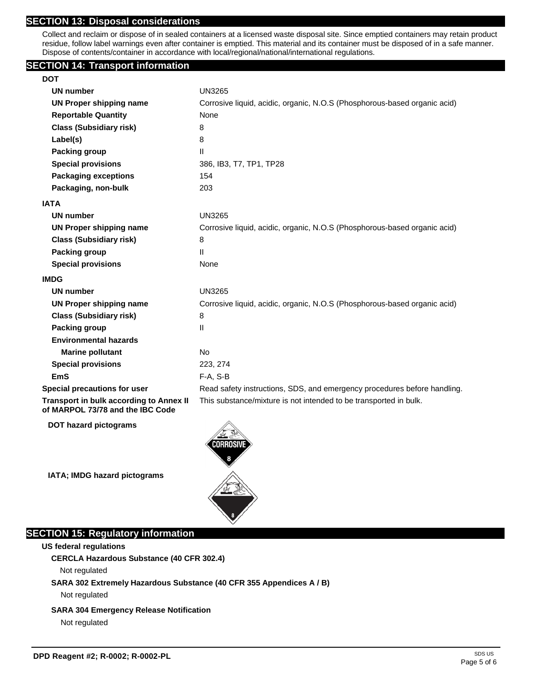# **SECTION 13: Disposal considerations**

Collect and reclaim or dispose of in sealed containers at a licensed waste disposal site. Since emptied containers may retain product residue, follow label warnings even after container is emptied. This material and its container must be disposed of in a safe manner. Dispose of contents/container in accordance with local/regional/national/international regulations.

## **SECTION 14: Transport information**

| <b>UN number</b>                                                                   | <b>UN3265</b>                                                             |
|------------------------------------------------------------------------------------|---------------------------------------------------------------------------|
| <b>UN Proper shipping name</b>                                                     | Corrosive liquid, acidic, organic, N.O.S (Phosphorous-based organic acid) |
| <b>Reportable Quantity</b>                                                         | None                                                                      |
| <b>Class (Subsidiary risk)</b>                                                     | 8                                                                         |
| Label(s)                                                                           | 8                                                                         |
| <b>Packing group</b>                                                               | $\mathbf{II}$                                                             |
| <b>Special provisions</b>                                                          | 386, IB3, T7, TP1, TP28                                                   |
| <b>Packaging exceptions</b>                                                        | 154                                                                       |
| Packaging, non-bulk                                                                | 203                                                                       |
| IATA                                                                               |                                                                           |
| <b>UN number</b>                                                                   | <b>UN3265</b>                                                             |
| UN Proper shipping name                                                            | Corrosive liquid, acidic, organic, N.O.S (Phosphorous-based organic acid) |
| <b>Class (Subsidiary risk)</b>                                                     | 8                                                                         |
| <b>Packing group</b>                                                               | $\mathbf{H}$                                                              |
| <b>Special provisions</b>                                                          | None                                                                      |
| <b>IMDG</b>                                                                        |                                                                           |
| UN number                                                                          | <b>UN3265</b>                                                             |
| <b>UN Proper shipping name</b>                                                     | Corrosive liquid, acidic, organic, N.O.S (Phosphorous-based organic acid) |
| <b>Class (Subsidiary risk)</b>                                                     | 8                                                                         |
| <b>Packing group</b>                                                               | $\mathsf{II}$                                                             |
| <b>Environmental hazards</b>                                                       |                                                                           |
| <b>Marine pollutant</b>                                                            | <b>No</b>                                                                 |
| <b>Special provisions</b>                                                          | 223, 274                                                                  |
| <b>EmS</b>                                                                         | $F-A, S-B$                                                                |
| <b>Special precautions for user</b>                                                | Read safety instructions, SDS, and emergency procedures before handling.  |
| <b>Transport in bulk according to Annex II</b><br>of MARPOL 73/78 and the IBC Code | This substance/mixture is not intended to be transported in bulk.         |

**DOT hazard pictograms**

**IATA; IMDG hazard pictograms**



# **SECTION 15: Regulatory information**

**US federal regulations**

**CERCLA Hazardous Substance (40 CFR 302.4)**

Not regulated

## **SARA 302 Extremely Hazardous Substance (40 CFR 355 Appendices A / B)**

Not regulated

## **SARA 304 Emergency Release Notification**

Not regulated